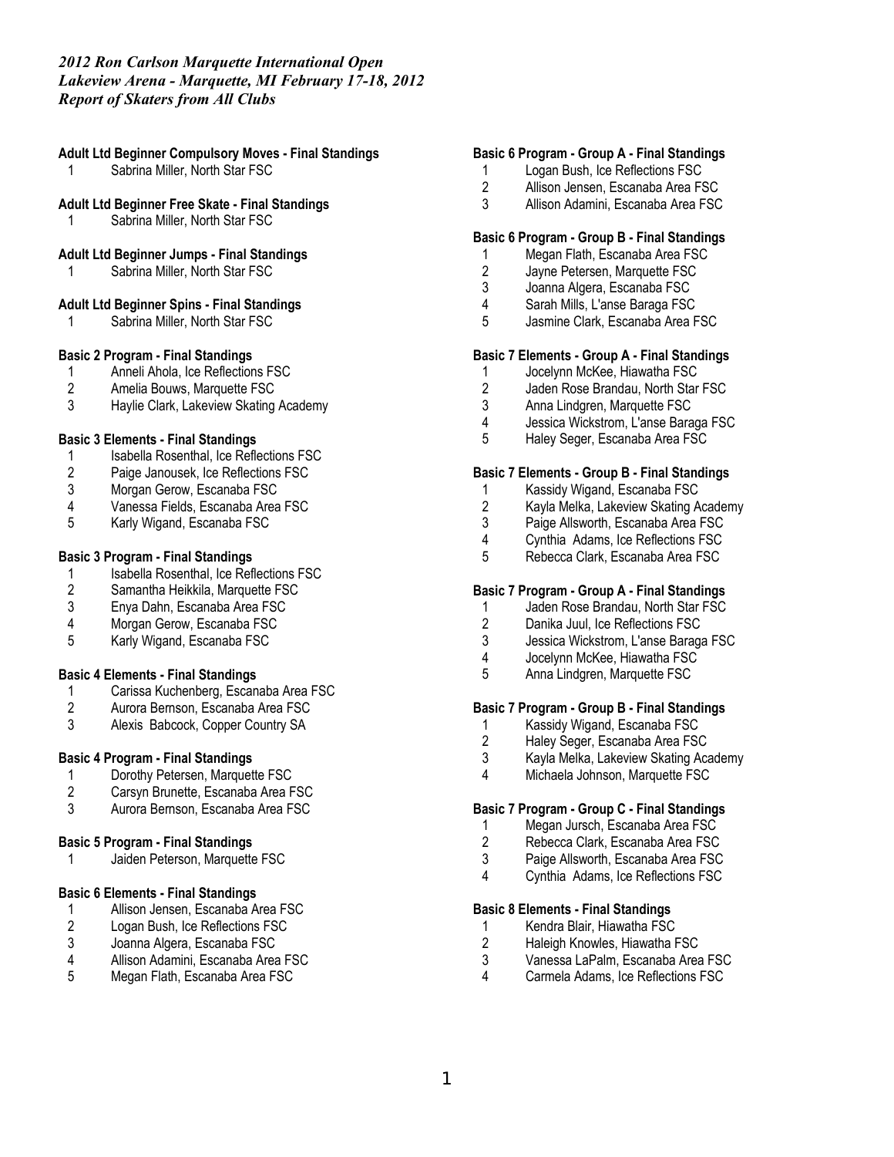## **Adult Ltd Beginner Compulsory Moves - Final Standings**

Sabrina Miller, North Star FSC

#### **Adult Ltd Beginner Free Skate - Final Standings**

1 Sabrina Miller, North Star FSC

### **Adult Ltd Beginner Jumps - Final Standings**

1 Sabrina Miller, North Star FSC

### **Adult Ltd Beginner Spins - Final Standings**

Sabrina Miller, North Star FSC

## **Basic 2 Program - Final Standings**

- 1 Anneli Ahola, Ice Reflections FSC<br>2 Amelia Bouws. Marquette FSC
- 2 Amelia Bouws, Marquette FSC
- 3 Haylie Clark, Lakeview Skating Academy

### **Basic 3 Elements - Final Standings**

- 1 Isabella Rosenthal, Ice Reflections FSC<br>2 Paige Janousek, Ice Reflections FSC
- 2 Paige Janousek, Ice Reflections FSC<br>3 Morgan Gerow, Escanaba FSC
- Morgan Gerow, Escanaba FSC
- 4 Vanessa Fields, Escanaba Area FSC<br>5 Karly Wigand, Escanaba FSC
- 5 Karly Wigand, Escanaba FSC

### **Basic 3 Program - Final Standings**

- 1 Isabella Rosenthal, Ice Reflections FSC<br>2 Samantha Heikkila, Marquette FSC
- Samantha Heikkila, Marquette FSC
- 3 Enya Dahn, Escanaba Area FSC
- 4 Morgan Gerow, Escanaba FSC<br>5 Karly Wigand, Escanaba FSC
- 5 Karly Wigand, Escanaba FSC

### **Basic 4 Elements - Final Standings**

- 1 Carissa Kuchenberg, Escanaba Area FSC
- 2 Aurora Bernson, Escanaba Area FSC<br>3 Alexis Babcock. Copper Country SA
- Alexis Babcock, Copper Country SA

### **Basic 4 Program - Final Standings**

- 1 Dorothy Petersen, Marquette FSC<br>2 Carsvn Brunette. Escanaba Area F
- 2 Carsyn Brunette, Escanaba Area FSC
- 3 Aurora Bernson, Escanaba Area FSC

## **Basic 5 Program - Final Standings**

1 Jaiden Peterson, Marquette FSC

## **Basic 6 Elements - Final Standings**

- 1 Allison Jensen, Escanaba Area FSC<br>2 Logan Bush, Ice Reflections FSC
- 2 Logan Bush, Ice Reflections FSC<br>3 Joanna Algera, Escanaba FSC
- 3 Joanna Algera, Escanaba FSC
- 4 Allison Adamini, Escanaba Area FSC
- 5 Megan Flath, Escanaba Area FSC

# **Basic 6 Program - Group A - Final Standings**

- 1 Logan Bush, Ice Reflections FSC<br>2 Allison Jensen. Escanaba Area F.
- Allison Jensen, Escanaba Area FSC
- 3 Allison Adamini, Escanaba Area FSC

# **Basic 6 Program - Group B - Final Standings**

- 1 Megan Flath, Escanaba Area FSC
- 2 Jayne Petersen, Marquette FSC
- 3 Joanna Algera, Escanaba FSC
- 4 Sarah Mills, L'anse Baraga FSC
- Jasmine Clark, Escanaba Area FSC

### **Basic 7 Elements - Group A - Final Standings**

- 1 Jocelynn McKee, Hiawatha FSC<br>2 Jaden Rose Brandau. North Star
- Jaden Rose Brandau, North Star FSC
- 3 Anna Lindgren, Marquette FSC
- 4 Jessica Wickstrom, L'anse Baraga FSC<br>5 Halev Seger, Escanaba Area FSC
- 5 Haley Seger, Escanaba Area FSC

### **Basic 7 Elements - Group B - Final Standings**

- 1 Kassidy Wigand, Escanaba FSC
- 2 Kayla Melka, Lakeview Skating Academy
- Paige Allsworth, Escanaba Area FSC
- 4 Cynthia Adams, Ice Reflections FSC
- 5 Rebecca Clark, Escanaba Area FSC

### **Basic 7 Program - Group A - Final Standings**

- 1 Jaden Rose Brandau, North Star FSC<br>2 Danika Juul, Ice Reflections FSC
- 2 Danika Juul, Ice Reflections FSC<br>3 Jessica Wickstrom. L'anse Baraga
- 3 Jessica Wickstrom, L'anse Baraga FSC
- 4 Jocelynn McKee, Hiawatha FSC<br>5 Anna Lindgren, Marquette FSC
- 5 Anna Lindgren, Marquette FSC

# **Basic 7 Program - Group B - Final Standings**

- 1 Kassidy Wigand, Escanaba FSC<br>2 Halev Seger, Escanaba Area FSC
- Haley Seger, Escanaba Area FSC
- 3 Kayla Melka, Lakeview Skating Academy
- 4 Michaela Johnson, Marquette FSC

#### **Basic 7 Program - Group C - Final Standings**

- 1 Megan Jursch, Escanaba Area FSC<br>2 Rebecca Clark. Escanaba Area FSC
- Rebecca Clark, Escanaba Area FSC
- 3 Paige Allsworth, Escanaba Area FSC
- 4 Cynthia Adams, Ice Reflections FSC

## **Basic 8 Elements - Final Standings**

- 1 Kendra Blair, Hiawatha FSC<br>2 Haleigh Knowles, Hiawatha F
- 2 Haleigh Knowles, Hiawatha FSC
- 3 Vanessa LaPalm, Escanaba Area FSC
- 4 Carmela Adams, Ice Reflections FSC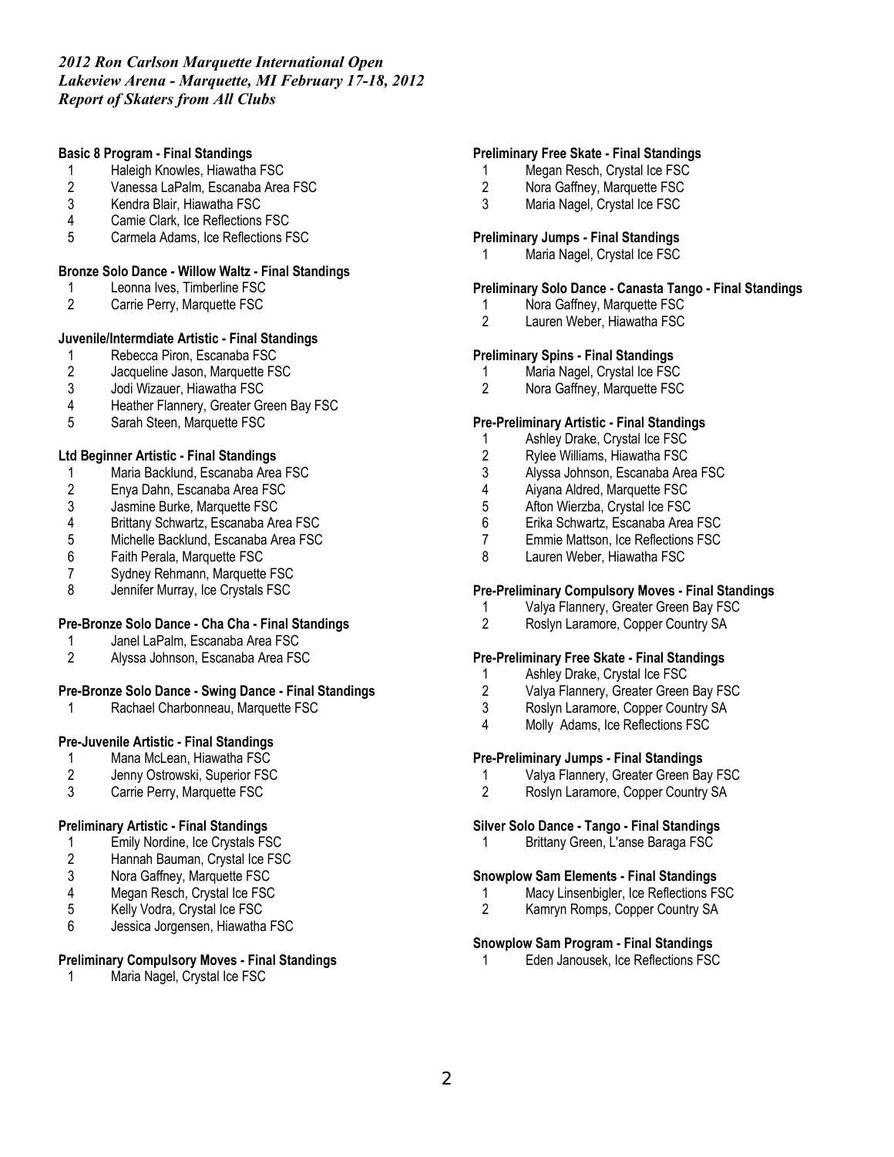## **Basic 8 Program - Final Standings**

- 1 Haleigh Knowles, Hiawatha FSC<br>2 Vanessa LaPalm, Escanaba Area
- 2 Vanessa LaPalm, Escanaba Area FSC<br>3 Kendra Blair. Hiawatha FSC
- 3 Kendra Blair, Hiawatha FSC
- 4 Camie Clark, Ice Reflections FSC
- 5 Carmela Adams, Ice Reflections FSC

## **Bronze Solo Dance - Willow Waltz - Final Standings**

- 1 Leonna Ives, Timberline FSC
- 2 Carrie Perry, Marquette FSC

## **Juvenile/Intermdiate Artistic - Final Standings**

- 1 Rebecca Piron, Escanaba FSC<br>2 Jacqueline Jason, Marquette FS
- 2 Jacqueline Jason, Marquette FSC<br>3 Jodi Wizauer, Hiawatha FSC
- 3 Jodi Wizauer, Hiawatha FSC
- 4 Heather Flannery, Greater Green Bay FSC
- 5 Sarah Steen, Marquette FSC

### **Ltd Beginner Artistic - Final Standings**

- 1 Maria Backlund, Escanaba Area FSC
- 2 Enya Dahn, Escanaba Area FSC
- 3 Jasmine Burke, Marquette FSC<br>4 Brittany Schwartz, Escanaba Are
- 4 Brittany Schwartz, Escanaba Area FSC
- Michelle Backlund, Escanaba Area FSC
- 6 Faith Perala, Marquette FSC
- 7 Sydney Rehmann, Marquette FSC<br>8 Jennifer Murray Joe Crystals FSC
- Jennifer Murray, Ice Crystals FSC

### **Pre-Bronze Solo Dance - Cha Cha - Final Standings**

- 1 Janel LaPalm, Escanaba Area FSC
- 2 Alyssa Johnson, Escanaba Area FSC

### **Pre-Bronze Solo Dance - Swing Dance - Final Standings**

1 Rachael Charbonneau, Marquette FSC

# **Pre-Juvenile Artistic - Final Standings**

- 1 Mana McLean, Hiawatha FSC<br>2 Jenny Ostrowski, Superior FSC
- Jenny Ostrowski, Superior FSC
- 3 Carrie Perry, Marquette FSC

### **Preliminary Artistic - Final Standings**

- 1 Emily Nordine, Ice Crystals FSC
- 2 Hannah Bauman, Crystal Ice FSC<br>3 Nora Gaffney, Marquette FSC
- 3 Nora Gaffney, Marquette FSC<br>4 Megan Resch, Crystal Ice FSC
- 4 Megan Resch, Crystal Ice FSC<br>5 Kelly Vodra, Crystal Ice FSC
- 5 Kelly Vodra, Crystal Ice FSC
- 6 Jessica Jorgensen, Hiawatha FSC

### **Preliminary Compulsory Moves - Final Standings**

1 Maria Nagel, Crystal Ice FSC

# **Preliminary Free Skate - Final Standings**

- 1 Megan Resch, Crystal Ice FSC<br>2 Nora Gaffnev. Marquette FSC
- 2 Nora Gaffney, Marquette FSC
- 3 Maria Nagel, Crystal Ice FSC

#### **Preliminary Jumps - Final Standings**

1 Maria Nagel, Crystal Ice FSC

## **Preliminary Solo Dance - Canasta Tango - Final Standings**

- 1 Nora Gaffney, Marquette FSC<br>2 Lauren Weber. Hiawatha FSC
- Lauren Weber, Hiawatha FSC

### **Preliminary Spins - Final Standings**

- 1 Maria Nagel, Crystal Ice FSC<br>2 Nora Gaffnev. Marquette FSC
- 2 Nora Gaffney, Marquette FSC

### **Pre-Preliminary Artistic - Final Standings**

- 1 Ashley Drake, Crystal Ice FSC
- 2 Rylee Williams, Hiawatha FSC
- 3 Alyssa Johnson, Escanaba Area FSC<br>4 Aivana Aldred. Marquette FSC
- Aiyana Aldred, Marquette FSC
- 5 Afton Wierzba, Crystal Ice FSC<br>6 Erika Schwartz, Escanaba Area
- 6 Erika Schwartz, Escanaba Area FSC
- 7 Emmie Mattson, Ice Reflections FSC
- 8 Lauren Weber, Hiawatha FSC

## **Pre-Preliminary Compulsory Moves - Final Standings**

- 1 Valya Flannery, Greater Green Bay FSC<br>2 Roslyn Laramore. Copper Country SA
- Roslyn Laramore, Copper Country SA

#### **Pre-Preliminary Free Skate - Final Standings**

- 1 Ashley Drake, Crystal Ice FSC<br>2 Valva Flannerv. Greater Green
- 2 Valya Flannery, Greater Green Bay FSC
- 3 Roslyn Laramore, Copper Country SA
- 4 Molly Adams, Ice Reflections FSC

# **Pre-Preliminary Jumps - Final Standings**

- 1 Valya Flannery, Greater Green Bay FSC
- 2 Roslyn Laramore, Copper Country SA

#### **Silver Solo Dance - Tango - Final Standings**

1 Brittany Green, L'anse Baraga FSC

### **Snowplow Sam Elements - Final Standings**

- 1 Macy Linsenbigler, Ice Reflections FSC
- 2 Kamryn Romps, Copper Country SA

### **Snowplow Sam Program - Final Standings**

1 Eden Janousek, Ice Reflections FSC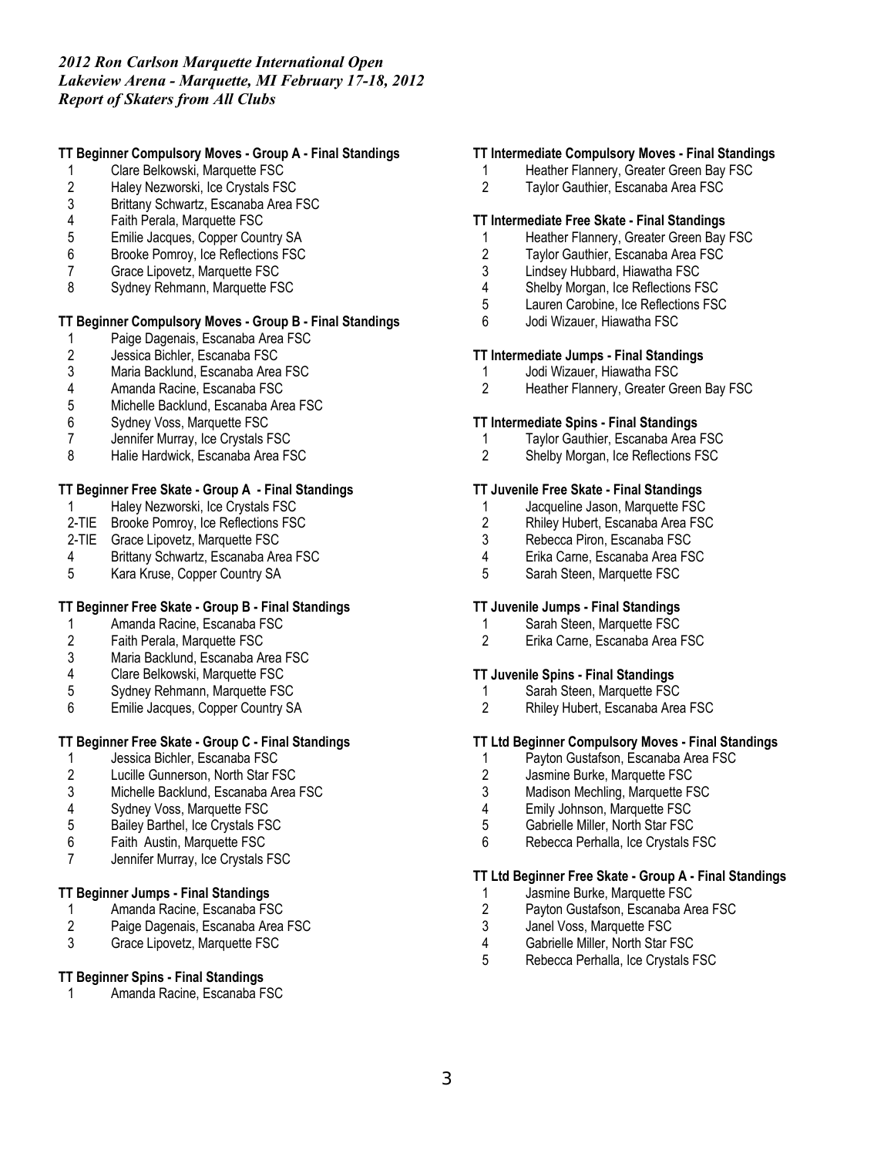# **TT Beginner Compulsory Moves - Group A - Final Standings**

- 1 Clare Belkowski, Marquette FSC<br>2 Haley Nezworski, Ice Crystals FS
- 2 Haley Nezworski, Ice Crystals FSC<br>3 Brittany Schwartz, Escanaba Area F
- 3 Brittany Schwartz, Escanaba Area FSC<br>4 Faith Perala, Marquette FSC
- 4 Faith Perala, Marquette FSC
- 5 Emilie Jacques, Copper Country SA
- 6 Brooke Pomroy, Ice Reflections FSC
- 7 Grace Lipovetz, Marquette FSC<br>8 Sydnev Rehmann, Marquette FS
- Sydney Rehmann, Marquette FSC

# **TT Beginner Compulsory Moves - Group B - Final Standings**

- 1 Paige Dagenais, Escanaba Area FSC<br>2 Jessica Bichler, Escanaba FSC
- 2 Jessica Bichler, Escanaba FSC<br>3 Maria Backlund, Escanaba Area
- 3 Maria Backlund, Escanaba Area FSC<br>4 Amanda Racine. Escanaba FSC
- 4 Amanda Racine, Escanaba FSC
- 5 Michelle Backlund, Escanaba Area FSC
- 
- 6 Sydney Voss, Marquette FSC Jennifer Murray, Ice Crystals FSC
- 8 Halie Hardwick, Escanaba Area FSC

# **TT Beginner Free Skate - Group A - Final Standings**

- Haley Nezworski, Ice Crystals FSC
- 2-TIE Brooke Pomroy, Ice Reflections FSC
- 2-TIE Grace Lipovetz, Marquette FSC
- 4 Brittany Schwartz, Escanaba Area FSC<br>5 Kara Kruse. Copper Country SA
- 5 Kara Kruse, Copper Country SA

# **TT Beginner Free Skate - Group B - Final Standings**

- 1 Amanda Racine, Escanaba FSC<br>2 Faith Perala, Marquette FSC
- Faith Perala, Marquette FSC
- 3 Maria Backlund, Escanaba Area FSC<br>4 Clare Belkowski, Marquette FSC
- 4 Clare Belkowski, Marquette FSC
- 5 Sydney Rehmann, Marquette FSC
- 6 Emilie Jacques, Copper Country SA

# **TT Beginner Free Skate - Group C - Final Standings**

- 1 Jessica Bichler, Escanaba FSC<br>2 Lucille Gunnerson, North Star F.
- 2 Lucille Gunnerson, North Star FSC<br>3 Michelle Backlund, Escanaba Area
- Michelle Backlund, Escanaba Area FSC
- 4 Sydney Voss, Marquette FSC<br>5 Bailey Barthel, Ice Crystals FS
- 5 Bailey Barthel, Ice Crystals FSC
- 6 Faith Austin, Marquette FSC
- 7 Jennifer Murray, Ice Crystals FSC

## **TT Beginner Jumps - Final Standings**

- 1 Amanda Racine, Escanaba FSC<br>2 Paige Dagenais, Escanaba Area
- 2 Paige Dagenais, Escanaba Area FSC<br>3 Grace Lipovetz, Marquette FSC
- Grace Lipovetz, Marquette FSC

# **TT Beginner Spins - Final Standings**

Amanda Racine, Escanaba FSC

### **TT Intermediate Compulsory Moves - Final Standings**

- 1 Heather Flannery, Greater Green Bay FSC<br>2 Tavlor Gauthier. Escanaba Area FSC
- Taylor Gauthier, Escanaba Area FSC

## **TT Intermediate Free Skate - Final Standings**

- 1 Heather Flannery, Greater Green Bay FSC
- 2 Taylor Gauthier, Escanaba Area FSC<br>3 Lindsev Hubbard, Hiawatha FSC
- 3 Lindsey Hubbard, Hiawatha FSC<br>4 Shelby Morgan Ice Reflections F
- Shelby Morgan, Ice Reflections FSC
- 5 Lauren Carobine, Ice Reflections FSC
- 6 Jodi Wizauer, Hiawatha FSC

### **TT Intermediate Jumps - Final Standings**

- 1 Jodi Wizauer, Hiawatha FSC<br>2 Heather Flannery, Greater Gr
- 2 Heather Flannery, Greater Green Bay FSC

### **TT Intermediate Spins - Final Standings**

- 1 Taylor Gauthier, Escanaba Area FSC
- 2 Shelby Morgan, Ice Reflections FSC

## **TT Juvenile Free Skate - Final Standings**

- 1 Jacqueline Jason, Marquette FSC<br>2 Rhiley Hubert, Escanaba Area FSC
- 2 Rhiley Hubert, Escanaba Area FSC<br>3 Rebecca Piron. Escanaba FSC
- Rebecca Piron, Escanaba FSC
- 4 Erika Carne, Escanaba Area FSC<br>5 Sarah Steen. Marquette FSC
- 5 Sarah Steen, Marquette FSC

### **TT Juvenile Jumps - Final Standings**

- 1 Sarah Steen, Marquette FSC<br>2 Erika Carne. Escanaba Area I
- 2 Erika Carne, Escanaba Area FSC

# **TT Juvenile Spins - Final Standings**

- Sarah Steen, Marquette FSC
- 2 Rhiley Hubert, Escanaba Area FSC

# **TT Ltd Beginner Compulsory Moves - Final Standings**

- 1 Payton Gustafson, Escanaba Area FSC<br>2 Jasmine Burke. Marquette FSC
- Jasmine Burke, Marquette FSC
- 3 Madison Mechling, Marquette FSC
- 4 Emily Johnson, Marquette FSC
- 5 Gabrielle Miller, North Star FSC
- 6 Rebecca Perhalla, Ice Crystals FSC

### **TT Ltd Beginner Free Skate - Group A - Final Standings**

- 1 Jasmine Burke, Marquette FSC<br>2 Payton Gustafson, Escanaba Ar
- 2 Payton Gustafson, Escanaba Area FSC<br>3 Janel Voss. Marquette FSC
- 3 Janel Voss, Marquette FSC<br>4 Gabrielle Miller. North Star F
- Gabrielle Miller, North Star FSC
- 5 Rebecca Perhalla, Ice Crystals FSC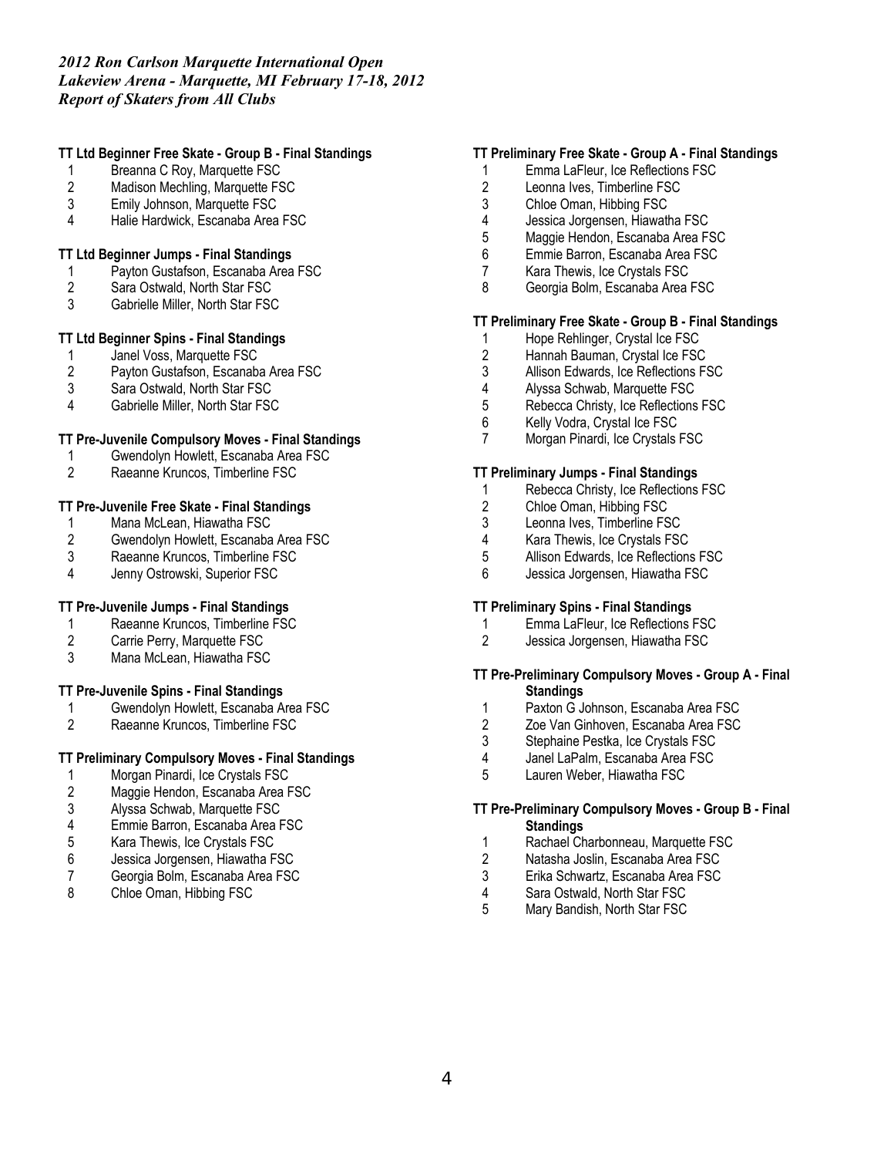# **TT Ltd Beginner Free Skate - Group B - Final Standings**

- 1 Breanna C Roy, Marquette FSC<br>2 Madison Mechling, Marquette FS
- Madison Mechling, Marquette FSC
- 3 Emily Johnson, Marquette FSC
- 4 Halie Hardwick, Escanaba Area FSC

## **TT Ltd Beginner Jumps - Final Standings**

- 1 Payton Gustafson, Escanaba Area FSC<br>2 Sara Ostwald, North Star FSC
- Sara Ostwald, North Star FSC
- 3 Gabrielle Miller, North Star FSC

# **TT Ltd Beginner Spins - Final Standings**

- 1 Janel Voss, Marquette FSC<br>2 Pavton Gustafson, Escanaba
- 2 Payton Gustafson, Escanaba Area FSC<br>3 Sara Ostwald. North Star FSC
- Sara Ostwald, North Star FSC
- 4 Gabrielle Miller, North Star FSC

# **TT Pre-Juvenile Compulsory Moves - Final Standings**

- 1 Gwendolyn Howlett, Escanaba Area FSC<br>2 Raeanne Kruncos. Timberline FSC
- 2 Raeanne Kruncos, Timberline FSC

## **TT Pre-Juvenile Free Skate - Final Standings**

- 1 Mana McLean, Hiawatha FSC<br>2 Gwendolyn Howlett, Escanaba
- 2 Gwendolyn Howlett, Escanaba Area FSC
- 3 Raeanne Kruncos, Timberline FSC<br>4 Jenny Ostrowski, Superior FSC
- Jenny Ostrowski, Superior FSC

# **TT Pre-Juvenile Jumps - Final Standings**

- 1 Raeanne Kruncos, Timberline FSC<br>2 Carrie Perry, Marquette FSC
- Carrie Perry, Marquette FSC
- 3 Mana McLean, Hiawatha FSC

## **TT Pre-Juvenile Spins - Final Standings**

- 1 Gwendolyn Howlett, Escanaba Area FSC<br>2 Raeanne Kruncos. Timberline FSC
- 2 Raeanne Kruncos, Timberline FSC

# **TT Preliminary Compulsory Moves - Final Standings**

- 1 Morgan Pinardi, Ice Crystals FSC<br>2 Maggie Hendon, Escanaba Area F
- Maggie Hendon, Escanaba Area FSC
- 3 Alyssa Schwab, Marquette FSC
- 4 Emmie Barron, Escanaba Area FSC<br>5 Kara Thewis. Ice Crystals FSC
- 5 Kara Thewis, Ice Crystals FSC
- 6 Jessica Jorgensen, Hiawatha FSC
- 7 Georgia Bolm, Escanaba Area FSC<br>8 Chloe Oman Hibbing FSC
- Chloe Oman, Hibbing FSC

# **TT Preliminary Free Skate - Group A - Final Standings**

- 1 Emma LaFleur, Ice Reflections FSC
- 2 Leonna Ives, Timberline FSC
- 3 Chloe Oman, Hibbing FSC
- 4 Jessica Jorgensen, Hiawatha FSC<br>5 Maggie Hendon, Escanaba Area F.
- Maggie Hendon, Escanaba Area FSC
- 6 Emmie Barron, Escanaba Area FSC
- 7 Kara Thewis, Ice Crystals FSC
- 8 Georgia Bolm, Escanaba Area FSC

# **TT Preliminary Free Skate - Group B - Final Standings**

- 1 Hope Rehlinger, Crystal Ice FSC<br>2 Hannah Bauman, Crystal Ice FSC
- 2 Hannah Bauman, Crystal Ice FSC<br>3 Allison Edwards, Ice Reflections F
- 3 Allison Edwards, Ice Reflections FSC<br>4 Alvssa Schwab. Marquette FSC
- Alyssa Schwab, Marquette FSC
- 5 Rebecca Christy, Ice Reflections FSC
- 6 Kelly Vodra, Crystal Ice FSC
- Morgan Pinardi, Ice Crystals FSC

### **TT Preliminary Jumps - Final Standings**

- 1 Rebecca Christy, Ice Reflections FSC
- 2 Chloe Oman, Hibbing FSC<br>3 Leonna Ives. Timberline FS
- Leonna Ives, Timberline FSC
- 4 Kara Thewis, Ice Crystals FSC
- 5 Allison Edwards, Ice Reflections FSC
- 6 Jessica Jorgensen, Hiawatha FSC

# **TT Preliminary Spins - Final Standings**

- 1 Emma LaFleur, Ice Reflections FSC
- 2 Jessica Jorgensen, Hiawatha FSC

# **TT Pre-Preliminary Compulsory Moves - Group A - Final Standings**

- 1 Paxton G Johnson, Escanaba Area FSC<br>2 Zoe Van Ginhoven, Escanaba Area FSC
- 2 Zoe Van Ginhoven, Escanaba Area FSC<br>3 Stephaine Pestka. Ice Crystals FSC
- Stephaine Pestka, Ice Crystals FSC
- 4 Janel LaPalm, Escanaba Area FSC<br>5 Lauren Weber, Hiawatha FSC
- 5 Lauren Weber, Hiawatha FSC

## **TT Pre-Preliminary Compulsory Moves - Group B - Final Standings**

- 1 Rachael Charbonneau, Marquette FSC
- 2 Natasha Joslin, Escanaba Area FSC
- 3 Erika Schwartz, Escanaba Area FSC
- 4 Sara Ostwald, North Star FSC
- 5 Mary Bandish, North Star FSC